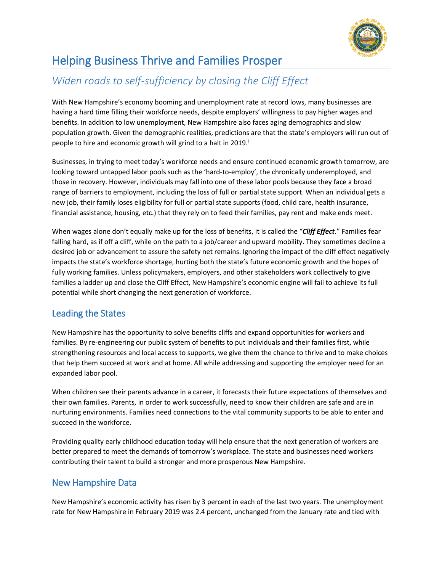

# Helping Business Thrive and Families Prosper

## *Widen roads to self-sufficiency by closing the Cliff Effect*

With New Hampshire's economy booming and unemployment rate at record lows, many businesses are having a hard time filling their workforce needs, despite employers' willingness to pay higher wages and benefits. In addition to low unemployment, New Hampshire also faces aging demographics and slow population growth. Given the demographic realities, predictions are that the state's employers will run out of people to hire and economic growth will grind to a halt in 2019.<sup>i</sup>

Businesses, in trying to meet today's workforce needs and ensure continued economic growth tomorrow, are looking toward untapped labor pools such as the 'hard-to-employ', the chronically underemployed, and those in recovery. However, individuals may fall into one of these labor pools because they face a broad range of barriers to employment, including the loss of full or partial state support. When an individual gets a new job, their family loses eligibility for full or partial state supports (food, child care, health insurance, financial assistance, housing, etc.) that they rely on to feed their families, pay rent and make ends meet.

When wages alone don't equally make up for the loss of benefits, it is called the "*Cliff Effect*." Families fear falling hard, as if off a cliff, while on the path to a job/career and upward mobility. They sometimes decline a desired job or advancement to assure the safety net remains. Ignoring the impact of the cliff effect negatively impacts the state's workforce shortage, hurting both the state's future economic growth and the hopes of fully working families. Unless policymakers, employers, and other stakeholders work collectively to give families a ladder up and close the Cliff Effect, New Hampshire's economic engine will fail to achieve its full potential while short changing the next generation of workforce.

### Leading the States

New Hampshire has the opportunity to solve benefits cliffs and expand opportunities for workers and families. By re-engineering our public system of benefits to put individuals and their families first, while strengthening resources and local access to supports, we give them the chance to thrive and to make choices that help them succeed at work and at home. All while addressing and supporting the employer need for an expanded labor pool.

When children see their parents advance in a career, it forecasts their future expectations of themselves and their own families. Parents, in order to work successfully, need to know their children are safe and are in nurturing environments. Families need connections to the vital community supports to be able to enter and succeed in the workforce.

Providing quality early childhood education today will help ensure that the next generation of workers are better prepared to meet the demands of tomorrow's workplace. The state and businesses need workers contributing their talent to build a stronger and more prosperous New Hampshire.

### New Hampshire Data

New Hampshire's economic activity has risen by 3 percent in each of the last two years. The unemployment rate for New Hampshire in February 2019 was 2.4 percent, unchanged from the January rate and tied with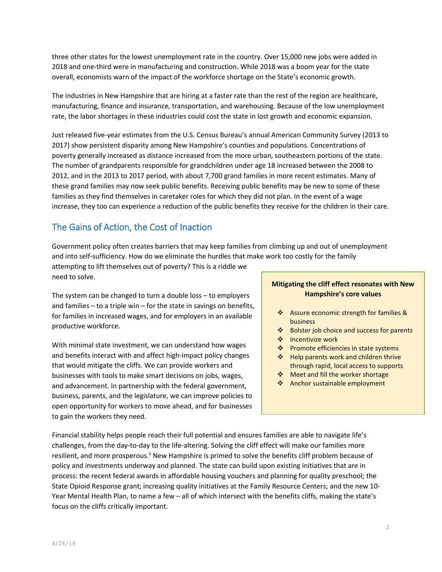three other states for the lowest unemployment rate in the country. Over 15,000 new jobs were added in 2018 and one-third were in manufacturing and construction. While 2018 was a boom year for the state overall, economists warn of the impact of the workforce shortage on the State's economic growth.

The industries in New Hampshire that are hiring at a faster rate than the rest of the region are healthcare, manufacturing, finance and insurance, transportation, and warehousing. Because of the low unemployment rate, the labor shortages in these industries could cost the state in lost growth and economic expansion.

Just released five-year estimates from the U.S. Census Bureau's annual American Community Survey (2013 to 2017) show persistent disparity among New Hampshire's counties and populations. Concentrations of poverty generally increased as distance increased from the more urban, southeastern portions of the state. The number of grandparents responsible for grandchildren under age 18 increased between the 2008 to 2012, and in the 2013 to 2017 period, with about 7,700 grand families in more recent estimates. Many of these grand families may now seek public benefits. Receiving public benefits may be new to some of these families as they find themselves in caretaker roles for which they did not plan. In the event of a wage increase, they too can experience a reduction of the public benefits they receive for the children in their care.

### The Gains of Action, the Cost of Inaction

Government policy often creates barriers that may keep families from climbing up and out of unemployment and into self-sufficiency. How do we eliminate the hurdles that make work too costly for the family

attempting to lift themselves out of poverty? This is a riddle we need to solve.

The system can be changed to turn a double loss – to employers and families  $-$  to a triple win  $-$  for the state in savings on benefits, for families in increased wages, and for employers in an available productive workforce.

With minimal state investment, we can understand how wages and benefits interact with and affect high-impact policy changes that would mitigate the cliffs. We can provide workers and businesses with tools to make smart decisions on jobs, wages, and advancement. In partnership with the federal government, business, parents, and the legislature, we can improve policies to open opportunity for workers to move ahead, and for businesses to gain the workers they need.

#### **Mitigating the cliff effect resonates with New Hampshire's core values**

- \* Assure economic strength for families & business
- ❖ Bolster job choice and success for parents
- ❖ Incentivize work
- ❖ Promote efficiencies in state systems
- ❖ Help parents work and children thrive through rapid, local access to supports
- ◆ Meet and fill the worker shortage
- ❖ Anchor sustainable employment

Financial stability helps people reach their full potential and ensures families are able to navigate life's challenges, from the day-to-day to the life-altering. Solving the cliff effect will make our families more resilient, and more prosperous.<sup>ii</sup> New Hampshire is primed to solve the benefits cliff problem because of policy and investments underway and planned. The state can build upon existing initiatives that are in process: the recent federal awards in affordable housing vouchers and planning for quality preschool; the State Opioid Response grant; increasing quality initiatives at the Family Resource Centers; and the new 10- Year Mental Health Plan, to name a few – all of which intersect with the benefits cliffs, making the state's focus on the cliffs critically important.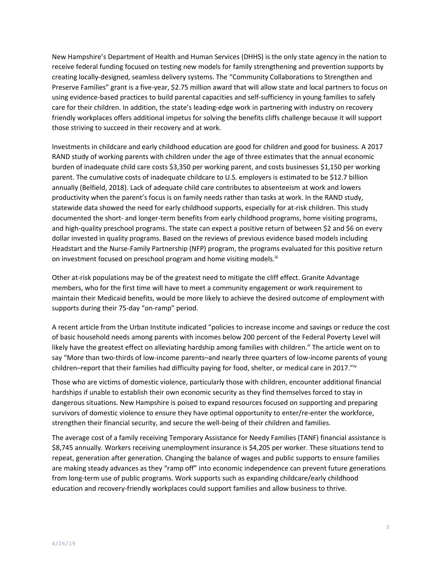New Hampshire's Department of Health and Human Services (DHHS) is the only state agency in the nation to receive federal funding focused on testing new models for family strengthening and prevention supports by creating locally-designed, seamless delivery systems. The "Community Collaborations to Strengthen and Preserve Families" grant is a five-year, \$2.75 million award that will allow state and local partners to focus on using evidence-based practices to build parental capacities and self-sufficiency in young families to safely care for their children. In addition, the state's leading-edge work in partnering with industry on recovery friendly workplaces offers additional impetus for solving the benefits cliffs challenge because it will support those striving to succeed in their recovery and at work.

Investments in childcare and early childhood education are good for children and good for business. A 2017 RAND study of working parents with children under the age of three estimates that the annual economic burden of inadequate child care costs \$3,350 per working parent, and costs businesses \$1,150 per working parent. The cumulative costs of inadequate childcare to U.S. employers is estimated to be \$12.7 billion annually (Belfield, 2018). Lack of adequate child care contributes to absenteeism at work and lowers productivity when the parent's focus is on family needs rather than tasks at work. In the RAND study, statewide data showed the need for early childhood supports, especially for at-risk children. This study documented the short- and longer-term benefits from early childhood programs, home visiting programs, and high-quality preschool programs. The state can expect a positive return of between \$2 and \$6 on every dollar invested in quality programs. Based on the reviews of previous evidence based models including Headstart and the Nurse-Family Partnership (NFP) program, the programs evaluated for this positive return on investment focused on preschool program and home visiting models.<sup>iii</sup>

Other at-risk populations may be of the greatest need to mitigate the cliff effect. Granite Advantage members, who for the first time will have to meet a community engagement or work requirement to maintain their Medicaid benefits, would be more likely to achieve the desired outcome of employment with supports during their 75-day "on-ramp" period.

A recent article from the Urban Institute indicated "policies to increase income and savings or reduce the cost of basic household needs among parents with incomes below 200 percent of the Federal Poverty Level will likely have the greatest effect on alleviating hardship among families with children." The article went on to say "More than two-thirds of low-income parents–and nearly three quarters of low-income parents of young children–report that their families had difficulty paying for food, shelter, or medical care in 2017."<sup>iv</sup>

Those who are victims of domestic violence, particularly those with children, encounter additional financial hardships if unable to establish their own economic security as they find themselves forced to stay in dangerous situations. New Hampshire is poised to expand resources focused on supporting and preparing survivors of domestic violence to ensure they have optimal opportunity to enter/re-enter the workforce, strengthen their financial security, and secure the well-being of their children and families.

The average cost of a family receiving Temporary Assistance for Needy Families (TANF) financial assistance is \$8,745 annually. Workers receiving unemployment insurance is \$4,205 per worker. These situations tend to repeat, generation after generation. Changing the balance of wages and public supports to ensure families are making steady advances as they "ramp off" into economic independence can prevent future generations from long-term use of public programs. Work supports such as expanding childcare/early childhood education and recovery-friendly workplaces could support families and allow business to thrive.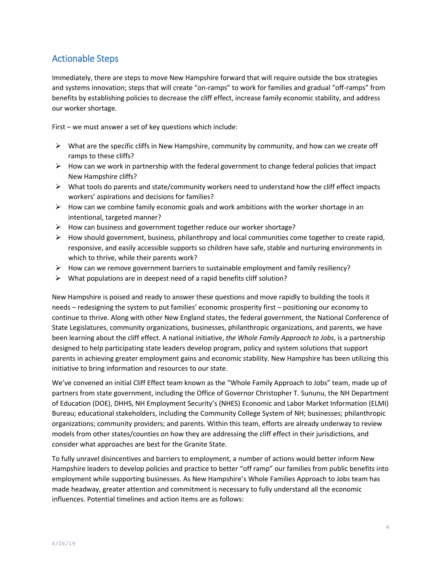#### Actionable Steps

Immediately, there are steps to move New Hampshire forward that will require outside the box strategies and systems innovation; steps that will create "on-ramps" to work for families and gradual "off-ramps" from benefits by establishing policies to decrease the cliff effect, increase family economic stability, and address our worker shortage.

First – we must answer a set of key questions which include:

- $\triangleright$  What are the specific cliffs in New Hampshire, community by community, and how can we create off ramps to these cliffs?
- $\triangleright$  How can we work in partnership with the federal government to change federal policies that impact New Hampshire cliffs?
- $\triangleright$  What tools do parents and state/community workers need to understand how the cliff effect impacts workers' aspirations and decisions for families?
- $\triangleright$  How can we combine family economic goals and work ambitions with the worker shortage in an intentional, targeted manner?
- $\triangleright$  How can business and government together reduce our worker shortage?
- $\triangleright$  How should government, business, philanthropy and local communities come together to create rapid, responsive, and easily accessible supports so children have safe, stable and nurturing environments in which to thrive, while their parents work?
- $\triangleright$  How can we remove government barriers to sustainable employment and family resiliency?
- $\triangleright$  What populations are in deepest need of a rapid benefits cliff solution?

New Hampshire is poised and ready to answer these questions and move rapidly to building the tools it needs – redesigning the system to put families' economic prosperity first – positioning our economy to continue to thrive. Along with other New England states, the federal government, the National Conference of State Legislatures, community organizations, businesses, philanthropic organizations, and parents, we have been learning about the cliff effect. A national initiative, *the Whole Family Approach to Jobs*, is a partnership designed to help participating state leaders develop program, policy and system solutions that support parents in achieving greater employment gains and economic stability. New Hampshire has been utilizing this initiative to bring information and resources to our state.

We've convened an initial Cliff Effect team known as the "Whole Family Approach to Jobs" team, made up of partners from state government, including the Office of Governor Christopher T. Sununu, the NH Department of Education (DOE), DHHS, NH Employment Security's (NHES) Economic and Labor Market Information (ELMI) Bureau; educational stakeholders, including the Community College System of NH; businesses; philanthropic organizations; community providers; and parents. Within this team, efforts are already underway to review models from other states/counties on how they are addressing the cliff effect in their jurisdictions, and consider what approaches are best for the Granite State.

To fully unravel disincentives and barriers to employment, a number of actions would better inform New Hampshire leaders to develop policies and practice to better "off ramp" our families from public benefits into employment while supporting businesses. As New Hampshire's Whole Families Approach to Jobs team has made headway, greater attention and commitment is necessary to fully understand all the economic influences. Potential timelines and action items are as follows: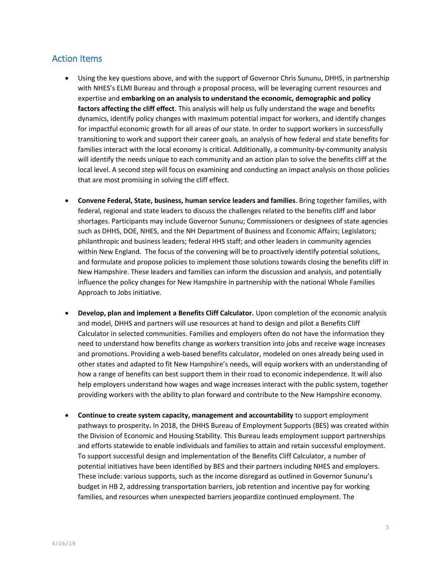#### Action Items

- Using the key questions above, and with the support of Governor Chris Sununu, DHHS, in partnership with NHES's ELMI Bureau and through a proposal process, will be leveraging current resources and expertise and **embarking on an analysis to understand the economic, demographic and policy factors affecting the cliff effect**. This analysis will help us fully understand the wage and benefits dynamics, identify policy changes with maximum potential impact for workers, and identify changes for impactful economic growth for all areas of our state. In order to support workers in successfully transitioning to work and support their career goals, an analysis of how federal and state benefits for families interact with the local economy is critical. Additionally, a community-by-community analysis will identify the needs unique to each community and an action plan to solve the benefits cliff at the local level. A second step will focus on examining and conducting an impact analysis on those policies that are most promising in solving the cliff effect.
- **Convene Federal, State, business, human service leaders and families**. Bring together families, with federal, regional and state leaders to discuss the challenges related to the benefits cliff and labor shortages. Participants may include Governor Sununu; Commissioners or designees of state agencies such as DHHS, DOE, NHES, and the NH Department of Business and Economic Affairs; Legislators; philanthropic and business leaders; federal HHS staff; and other leaders in community agencies within New England. The focus of the convening will be to proactively identify potential solutions, and formulate and propose policies to implement those solutions towards closing the benefits cliff in New Hampshire. These leaders and families can inform the discussion and analysis, and potentially influence the policy changes for New Hampshire in partnership with the national Whole Families Approach to Jobs initiative.
- **Develop, plan and implement a Benefits Cliff Calculator.** Upon completion of the economic analysis and model, DHHS and partners will use resources at hand to design and pilot a Benefits Cliff Calculator in selected communities. Families and employers often do not have the information they need to understand how benefits change as workers transition into jobs and receive wage increases and promotions. Providing a web-based benefits calculator, modeled on ones already being used in other states and adapted to fit New Hampshire's needs, will equip workers with an understanding of how a range of benefits can best support them in their road to economic independence. It will also help employers understand how wages and wage increases interact with the public system, together providing workers with the ability to plan forward and contribute to the New Hampshire economy.
- **Continue to create system capacity, management and accountability** to support employment pathways to prosperity**.** In 2018, the DHHS Bureau of Employment Supports (BES) was created within the Division of Economic and Housing Stability. This Bureau leads employment support partnerships and efforts statewide to enable individuals and families to attain and retain successful employment. To support successful design and implementation of the Benefits Cliff Calculator, a number of potential initiatives have been identified by BES and their partners including NHES and employers. These include: various supports, such as the income disregard as outlined in Governor Sununu's budget in HB 2, addressing transportation barriers, job retention and incentive pay for working families, and resources when unexpected barriers jeopardize continued employment. The